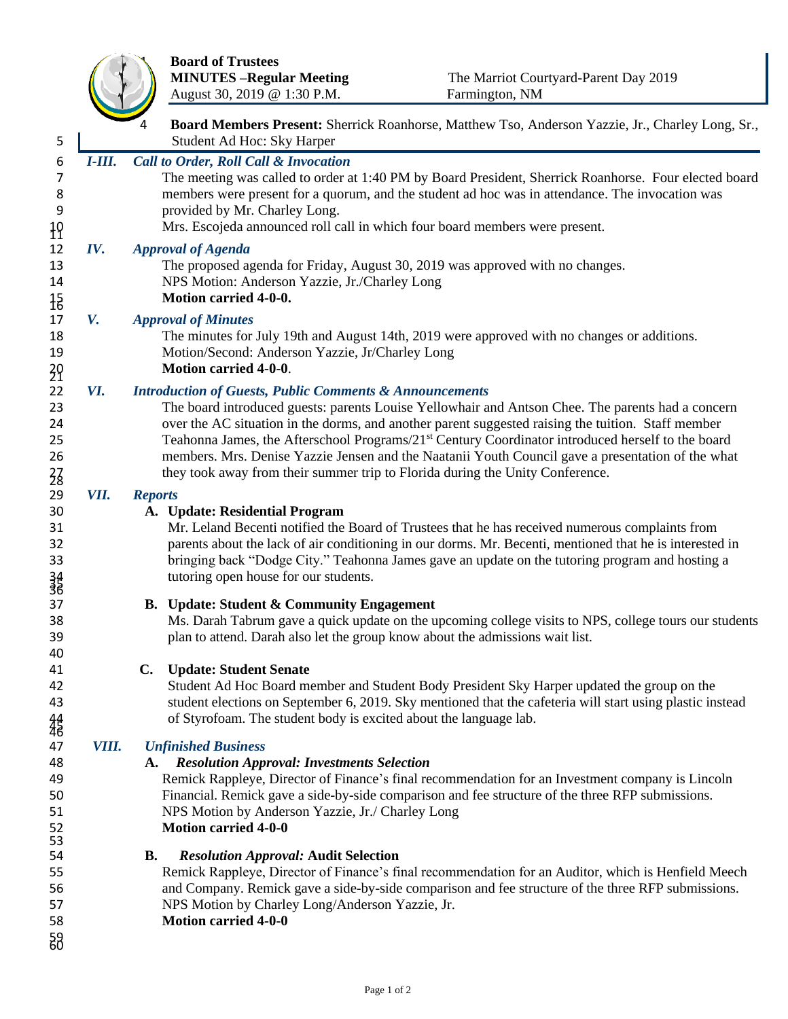

|                                               |               | <b>MINUTES-Regular Meeting</b><br>August 30, 2019 @ 1:30 P.M.                                                                                                                                                                                                                                                                                                                | The Marriot Courtyard-Parent Day 2019<br>Farmington, NM                                                                                                                                                                                                                                                                                                                                                                       |
|-----------------------------------------------|---------------|------------------------------------------------------------------------------------------------------------------------------------------------------------------------------------------------------------------------------------------------------------------------------------------------------------------------------------------------------------------------------|-------------------------------------------------------------------------------------------------------------------------------------------------------------------------------------------------------------------------------------------------------------------------------------------------------------------------------------------------------------------------------------------------------------------------------|
| 5                                             |               | Student Ad Hoc: Sky Harper                                                                                                                                                                                                                                                                                                                                                   | Board Members Present: Sherrick Roanhorse, Matthew Tso, Anderson Yazzie, Jr., Charley Long, Sr.,                                                                                                                                                                                                                                                                                                                              |
| 6<br>7<br>8<br>9<br>$\overline{1}$            | <i>I-III.</i> | <b>Call to Order, Roll Call &amp; Invocation</b><br>The meeting was called to order at 1:40 PM by Board President, Sherrick Roanhorse. Four elected board<br>members were present for a quorum, and the student ad hoc was in attendance. The invocation was<br>provided by Mr. Charley Long.<br>Mrs. Escojeda announced roll call in which four board members were present. |                                                                                                                                                                                                                                                                                                                                                                                                                               |
| 12<br>13<br>14<br>$\frac{15}{16}$             | IV.           | <b>Approval of Agenda</b><br>NPS Motion: Anderson Yazzie, Jr./Charley Long<br>Motion carried 4-0-0.                                                                                                                                                                                                                                                                          | The proposed agenda for Friday, August 30, 2019 was approved with no changes.                                                                                                                                                                                                                                                                                                                                                 |
| 17<br>18<br>19<br>$\frac{20}{21}$             | V.            | <b>Approval of Minutes</b><br>Motion/Second: Anderson Yazzie, Jr/Charley Long<br><b>Motion carried 4-0-0.</b>                                                                                                                                                                                                                                                                | The minutes for July 19th and August 14th, 2019 were approved with no changes or additions.                                                                                                                                                                                                                                                                                                                                   |
| 22<br>23<br>24<br>25<br>26<br>$\frac{2}{8}$   | VI.           | <b>Introduction of Guests, Public Comments &amp; Announcements</b><br>they took away from their summer trip to Florida during the Unity Conference.                                                                                                                                                                                                                          | The board introduced guests: parents Louise Yellowhair and Antson Chee. The parents had a concern<br>over the AC situation in the dorms, and another parent suggested raising the tuition. Staff member<br>Teahonna James, the Afterschool Programs/21 <sup>st</sup> Century Coordinator introduced herself to the board<br>members. Mrs. Denise Yazzie Jensen and the Naatanii Youth Council gave a presentation of the what |
| 29<br>30<br>31<br>32<br>33<br>$\frac{34}{36}$ | VII.          | <b>Reports</b><br>A. Update: Residential Program<br>tutoring open house for our students.                                                                                                                                                                                                                                                                                    | Mr. Leland Becenti notified the Board of Trustees that he has received numerous complaints from<br>parents about the lack of air conditioning in our dorms. Mr. Becenti, mentioned that he is interested in<br>bringing back "Dodge City." Teahonna James gave an update on the tutoring program and hosting a                                                                                                                |
| 37<br>38<br>39<br>40                          |               | <b>B.</b> Update: Student & Community Engagement<br>plan to attend. Darah also let the group know about the admissions wait list.                                                                                                                                                                                                                                            | Ms. Darah Tabrum gave a quick update on the upcoming college visits to NPS, college tours our students                                                                                                                                                                                                                                                                                                                        |
| 41<br>42<br>43<br>铅                           |               | $\mathbf{C}$ .<br><b>Update: Student Senate</b><br>of Styrofoam. The student body is excited about the language lab.                                                                                                                                                                                                                                                         | Student Ad Hoc Board member and Student Body President Sky Harper updated the group on the<br>student elections on September 6, 2019. Sky mentioned that the cafeteria will start using plastic instead                                                                                                                                                                                                                       |
| 47<br>48<br>49<br>50<br>51<br>52              | VIII.         | <b>Unfinished Business</b><br><b>Resolution Approval: Investments Selection</b><br>A.<br>NPS Motion by Anderson Yazzie, Jr./ Charley Long<br><b>Motion carried 4-0-0</b>                                                                                                                                                                                                     | Remick Rappleye, Director of Finance's final recommendation for an Investment company is Lincoln<br>Financial. Remick gave a side-by-side comparison and fee structure of the three RFP submissions.                                                                                                                                                                                                                          |
| 53<br>54<br>55<br>56<br>57<br>58<br>58        |               | <b>B.</b><br><b>Resolution Approval: Audit Selection</b><br>NPS Motion by Charley Long/Anderson Yazzie, Jr.<br><b>Motion carried 4-0-0</b>                                                                                                                                                                                                                                   | Remick Rappleye, Director of Finance's final recommendation for an Auditor, which is Henfield Meech<br>and Company. Remick gave a side-by-side comparison and fee structure of the three RFP submissions.                                                                                                                                                                                                                     |